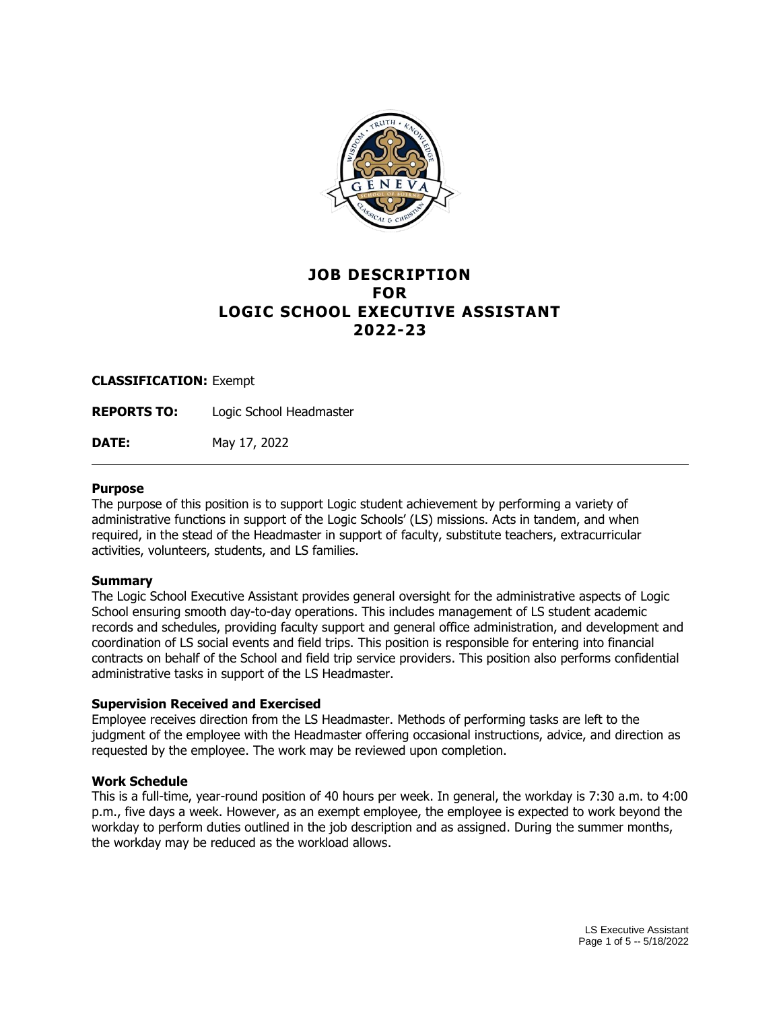

# **JOB DESCRIPTION FOR LOGIC SCHOOL EXECUTIVE ASSISTANT 2022-23**

#### **CLASSIFICATION:** Exempt

**REPORTS TO:** Logic School Headmaster

**DATE:** May 17, 2022

#### **Purpose**

The purpose of this position is to support Logic student achievement by performing a variety of administrative functions in support of the Logic Schools' (LS) missions. Acts in tandem, and when required, in the stead of the Headmaster in support of faculty, substitute teachers, extracurricular activities, volunteers, students, and LS families.

#### **Summary**

The Logic School Executive Assistant provides general oversight for the administrative aspects of Logic School ensuring smooth day-to-day operations. This includes management of LS student academic records and schedules, providing faculty support and general office administration, and development and coordination of LS social events and field trips. This position is responsible for entering into financial contracts on behalf of the School and field trip service providers. This position also performs confidential administrative tasks in support of the LS Headmaster.

#### **Supervision Received and Exercised**

Employee receives direction from the LS Headmaster. Methods of performing tasks are left to the judgment of the employee with the Headmaster offering occasional instructions, advice, and direction as requested by the employee. The work may be reviewed upon completion.

## **Work Schedule**

This is a full-time, year-round position of 40 hours per week. In general, the workday is 7:30 a.m. to 4:00 p.m., five days a week. However, as an exempt employee, the employee is expected to work beyond the workday to perform duties outlined in the job description and as assigned. During the summer months, the workday may be reduced as the workload allows.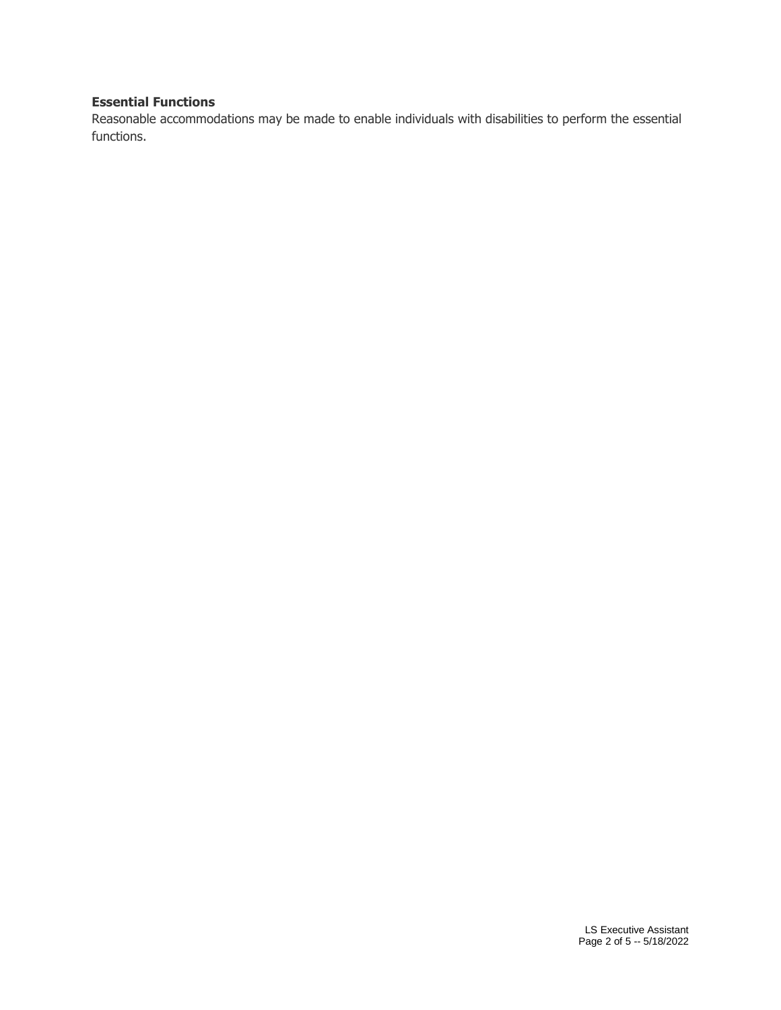# **Essential Functions**

Reasonable accommodations may be made to enable individuals with disabilities to perform the essential functions.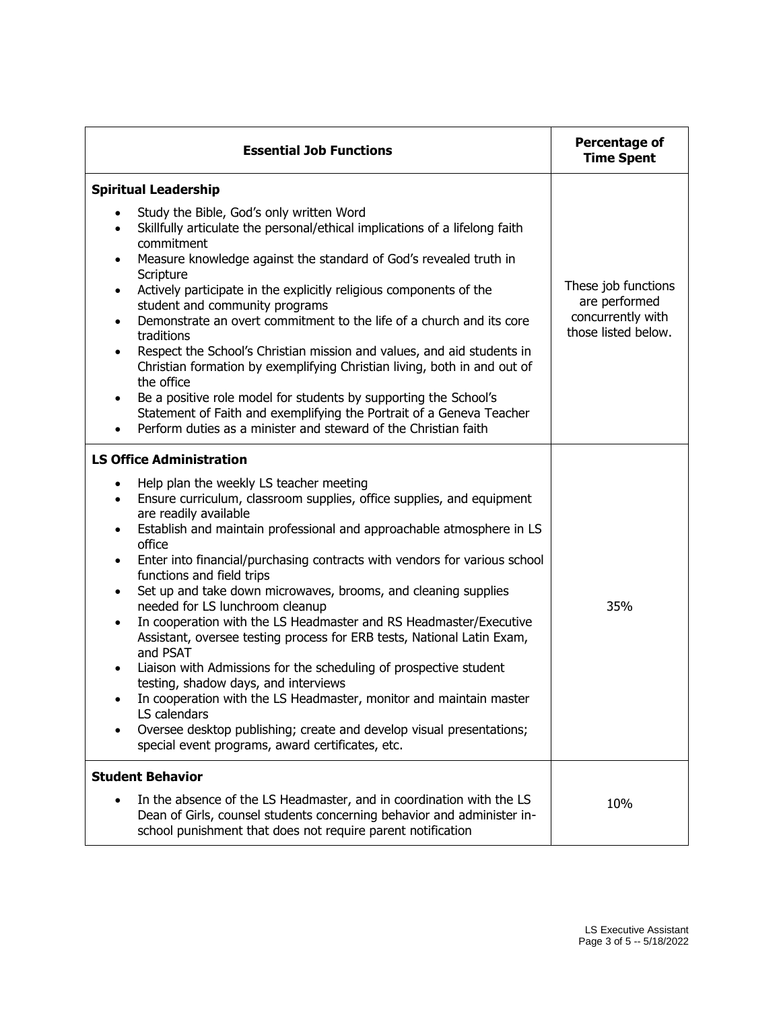| <b>Essential Job Functions</b>                                                                                                                                                                                                                                                                                                                                                                                                                                                                                                                                                                                                                   | Percentage of<br><b>Time Spent</b>                                               |
|--------------------------------------------------------------------------------------------------------------------------------------------------------------------------------------------------------------------------------------------------------------------------------------------------------------------------------------------------------------------------------------------------------------------------------------------------------------------------------------------------------------------------------------------------------------------------------------------------------------------------------------------------|----------------------------------------------------------------------------------|
| <b>Spiritual Leadership</b><br>Study the Bible, God's only written Word<br>Skillfully articulate the personal/ethical implications of a lifelong faith<br>$\bullet$<br>commitment                                                                                                                                                                                                                                                                                                                                                                                                                                                                |                                                                                  |
| Measure knowledge against the standard of God's revealed truth in<br>$\bullet$<br>Scripture<br>Actively participate in the explicitly religious components of the<br>$\bullet$<br>student and community programs<br>Demonstrate an overt commitment to the life of a church and its core<br>$\bullet$<br>traditions<br>Respect the School's Christian mission and values, and aid students in<br>$\bullet$<br>Christian formation by exemplifying Christian living, both in and out of<br>the office<br>Be a positive role model for students by supporting the School's<br>Statement of Faith and exemplifying the Portrait of a Geneva Teacher | These job functions<br>are performed<br>concurrently with<br>those listed below. |
| Perform duties as a minister and steward of the Christian faith<br><b>LS Office Administration</b><br>Help plan the weekly LS teacher meeting<br>$\bullet$                                                                                                                                                                                                                                                                                                                                                                                                                                                                                       |                                                                                  |
| Ensure curriculum, classroom supplies, office supplies, and equipment<br>$\bullet$<br>are readily available<br>Establish and maintain professional and approachable atmosphere in LS<br>$\bullet$<br>office<br>Enter into financial/purchasing contracts with vendors for various school<br>$\bullet$<br>functions and field trips<br>Set up and take down microwaves, brooms, and cleaning supplies<br>$\bullet$                                                                                                                                                                                                                                |                                                                                  |
| needed for LS lunchroom cleanup<br>In cooperation with the LS Headmaster and RS Headmaster/Executive<br>Assistant, oversee testing process for ERB tests, National Latin Exam,<br>and PSAT<br>Liaison with Admissions for the scheduling of prospective student<br>testing, shadow days, and interviews<br>In cooperation with the LS Headmaster, monitor and maintain master                                                                                                                                                                                                                                                                    | 35%                                                                              |
| LS calendars<br>Oversee desktop publishing; create and develop visual presentations;<br>special event programs, award certificates, etc.                                                                                                                                                                                                                                                                                                                                                                                                                                                                                                         |                                                                                  |
| <b>Student Behavior</b><br>In the absence of the LS Headmaster, and in coordination with the LS<br>Dean of Girls, counsel students concerning behavior and administer in-<br>school punishment that does not require parent notification                                                                                                                                                                                                                                                                                                                                                                                                         | 10%                                                                              |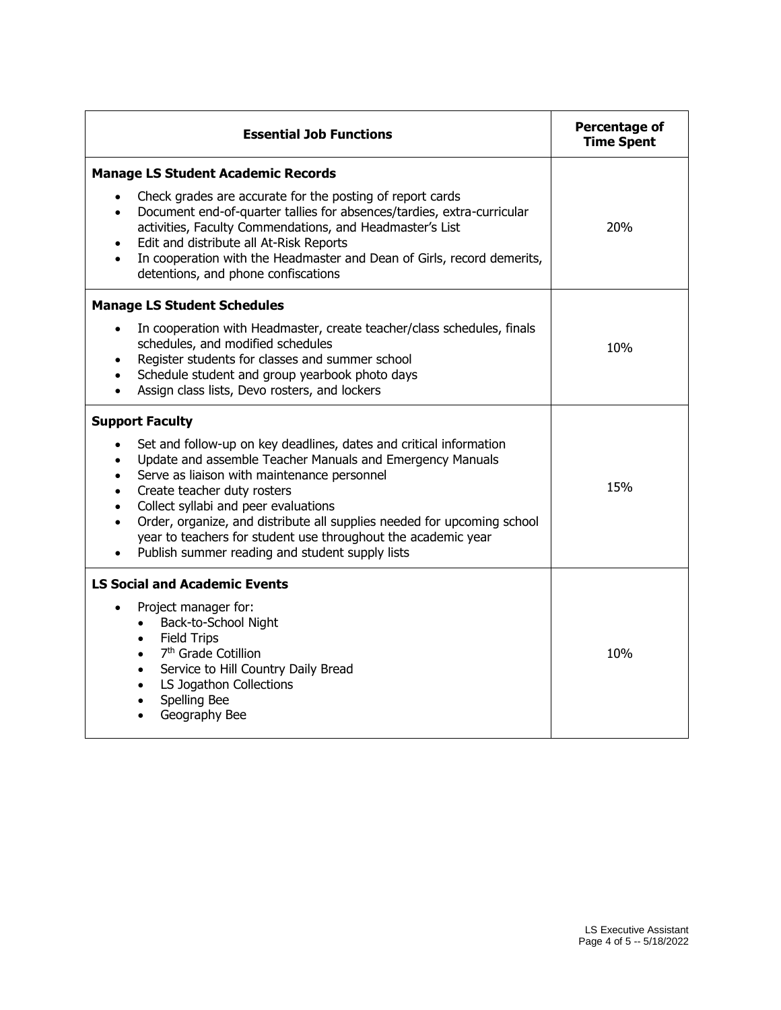| <b>Essential Job Functions</b>                                                                                                                                                                                                                                                                                                                                                                                                                                                                                                     | Percentage of<br><b>Time Spent</b> |
|------------------------------------------------------------------------------------------------------------------------------------------------------------------------------------------------------------------------------------------------------------------------------------------------------------------------------------------------------------------------------------------------------------------------------------------------------------------------------------------------------------------------------------|------------------------------------|
| <b>Manage LS Student Academic Records</b><br>Check grades are accurate for the posting of report cards<br>$\bullet$                                                                                                                                                                                                                                                                                                                                                                                                                |                                    |
| Document end-of-quarter tallies for absences/tardies, extra-curricular<br>$\bullet$<br>activities, Faculty Commendations, and Headmaster's List<br>Edit and distribute all At-Risk Reports<br>In cooperation with the Headmaster and Dean of Girls, record demerits,<br>detentions, and phone confiscations                                                                                                                                                                                                                        | 20%                                |
| <b>Manage LS Student Schedules</b>                                                                                                                                                                                                                                                                                                                                                                                                                                                                                                 |                                    |
| In cooperation with Headmaster, create teacher/class schedules, finals<br>$\bullet$<br>schedules, and modified schedules<br>Register students for classes and summer school<br>Schedule student and group yearbook photo days<br>$\bullet$<br>Assign class lists, Devo rosters, and lockers<br>$\bullet$                                                                                                                                                                                                                           | 10%                                |
| <b>Support Faculty</b>                                                                                                                                                                                                                                                                                                                                                                                                                                                                                                             |                                    |
| Set and follow-up on key deadlines, dates and critical information<br>$\bullet$<br>Update and assemble Teacher Manuals and Emergency Manuals<br>$\bullet$<br>Serve as liaison with maintenance personnel<br>$\bullet$<br>Create teacher duty rosters<br>$\bullet$<br>Collect syllabi and peer evaluations<br>$\bullet$<br>Order, organize, and distribute all supplies needed for upcoming school<br>$\bullet$<br>year to teachers for student use throughout the academic year<br>Publish summer reading and student supply lists | 15%                                |
| <b>LS Social and Academic Events</b>                                                                                                                                                                                                                                                                                                                                                                                                                                                                                               |                                    |
| Project manager for:<br>$\bullet$<br>Back-to-School Night<br>$\bullet$<br><b>Field Trips</b><br>$\bullet$<br>7 <sup>th</sup> Grade Cotillion<br>$\bullet$<br>Service to Hill Country Daily Bread<br>$\bullet$<br>LS Jogathon Collections<br>$\bullet$<br>Spelling Bee<br>$\bullet$<br>Geography Bee<br>$\bullet$                                                                                                                                                                                                                   | 10%                                |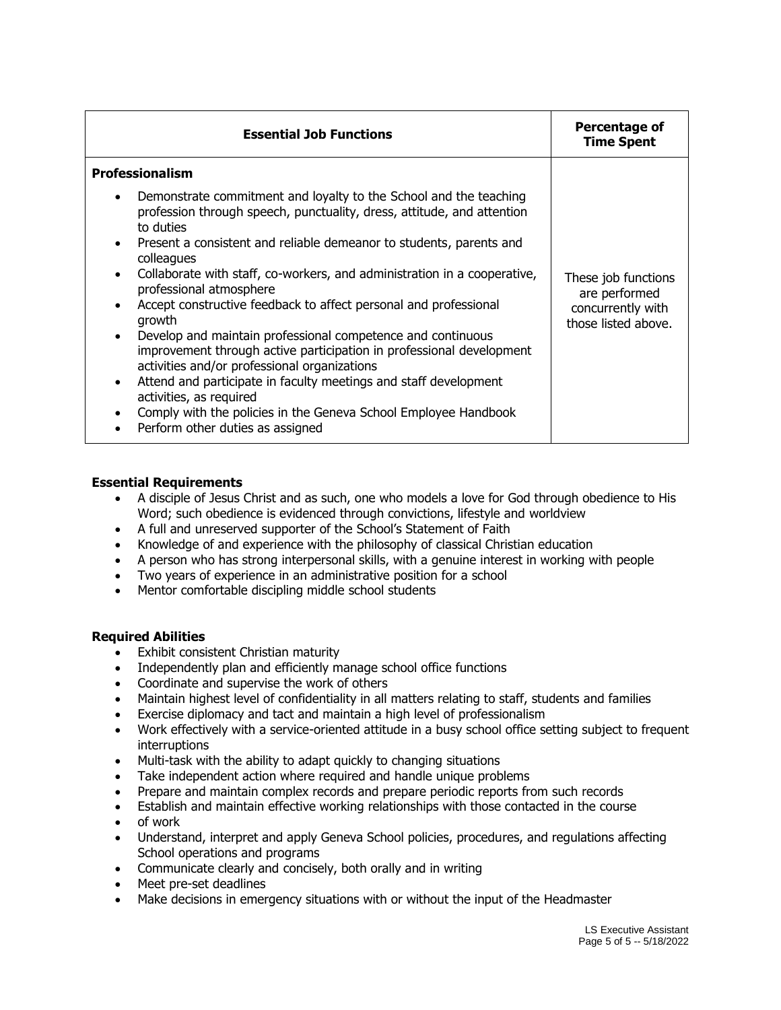| <b>Essential Job Functions</b>                                                                                                                                                                                                                                                                                                                                                                                                                                                                                                                                                                                                                                                                                                                                                                                                  | Percentage of<br><b>Time Spent</b>                                               |
|---------------------------------------------------------------------------------------------------------------------------------------------------------------------------------------------------------------------------------------------------------------------------------------------------------------------------------------------------------------------------------------------------------------------------------------------------------------------------------------------------------------------------------------------------------------------------------------------------------------------------------------------------------------------------------------------------------------------------------------------------------------------------------------------------------------------------------|----------------------------------------------------------------------------------|
| <b>Professionalism</b>                                                                                                                                                                                                                                                                                                                                                                                                                                                                                                                                                                                                                                                                                                                                                                                                          |                                                                                  |
| Demonstrate commitment and loyalty to the School and the teaching<br>profession through speech, punctuality, dress, attitude, and attention<br>to duties<br>Present a consistent and reliable demeanor to students, parents and<br>colleagues<br>Collaborate with staff, co-workers, and administration in a cooperative,<br>professional atmosphere<br>Accept constructive feedback to affect personal and professional<br>growth<br>Develop and maintain professional competence and continuous<br>improvement through active participation in professional development<br>activities and/or professional organizations<br>Attend and participate in faculty meetings and staff development<br>activities, as required<br>Comply with the policies in the Geneva School Employee Handbook<br>Perform other duties as assigned | These job functions<br>are performed<br>concurrently with<br>those listed above. |

## **Essential Requirements**

- A disciple of Jesus Christ and as such, one who models a love for God through obedience to His Word; such obedience is evidenced through convictions, lifestyle and worldview
- A full and unreserved supporter of the School's Statement of Faith
- Knowledge of and experience with the philosophy of classical Christian education
- A person who has strong interpersonal skills, with a genuine interest in working with people
- Two years of experience in an administrative position for a school
- Mentor comfortable discipling middle school students

## **Required Abilities**

- Exhibit consistent Christian maturity
- Independently plan and efficiently manage school office functions
- Coordinate and supervise the work of others
- Maintain highest level of confidentiality in all matters relating to staff, students and families
- Exercise diplomacy and tact and maintain a high level of professionalism
- Work effectively with a service-oriented attitude in a busy school office setting subject to frequent interruptions
- Multi-task with the ability to adapt quickly to changing situations
- Take independent action where required and handle unique problems
- Prepare and maintain complex records and prepare periodic reports from such records
- Establish and maintain effective working relationships with those contacted in the course
- of work
- Understand, interpret and apply Geneva School policies, procedures, and regulations affecting School operations and programs
- Communicate clearly and concisely, both orally and in writing
- Meet pre-set deadlines
- Make decisions in emergency situations with or without the input of the Headmaster